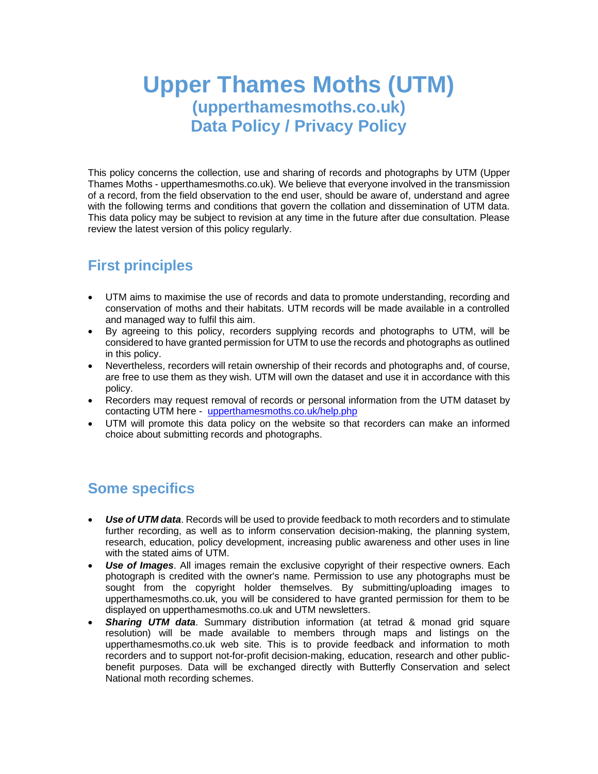# **Upper Thames Moths (UTM) (upperthamesmoths.co.uk) Data Policy / Privacy Policy**

This policy concerns the collection, use and sharing of records and photographs by UTM (Upper Thames Moths - upperthamesmoths.co.uk). We believe that everyone involved in the transmission of a record, from the field observation to the end user, should be aware of, understand and agree with the following terms and conditions that govern the collation and dissemination of UTM data. This data policy may be subject to revision at any time in the future after due consultation. Please review the latest version of this policy regularly.

### **First principles**

- UTM aims to maximise the use of records and data to promote understanding, recording and conservation of moths and their habitats. UTM records will be made available in a controlled and managed way to fulfil this aim.
- By agreeing to this policy, recorders supplying records and photographs to UTM, will be considered to have granted permission for UTM to use the records and photographs as outlined in this policy.
- Nevertheless, recorders will retain ownership of their records and photographs and, of course, are free to use them as they wish. UTM will own the dataset and use it in accordance with this policy.
- Recorders may request removal of records or personal information from the UTM dataset by contacting UTM here - [upperthamesmoths.co.uk/help.php](https://suffolkmoths.co.uk/help.php)
- UTM will promote this data policy on the website so that recorders can make an informed choice about submitting records and photographs.

### **Some specifics**

- *Use of UTM data*. Records will be used to provide feedback to moth recorders and to stimulate further recording, as well as to inform conservation decision-making, the planning system, research, education, policy development, increasing public awareness and other uses in line with the stated aims of UTM.
- *Use of Images*. All images remain the exclusive copyright of their respective owners. Each photograph is credited with the owner's name. Permission to use any photographs must be sought from the copyright holder themselves. By submitting/uploading images to upperthamesmoths.co.uk, you will be considered to have granted permission for them to be displayed on upperthamesmoths.co.uk and UTM newsletters.
- *Sharing UTM data*. Summary distribution information (at tetrad & monad grid square resolution) will be made available to members through maps and listings on the upperthamesmoths.co.uk web site. This is to provide feedback and information to moth recorders and to support not-for-profit decision-making, education, research and other publicbenefit purposes. Data will be exchanged directly with Butterfly Conservation and select National moth recording schemes.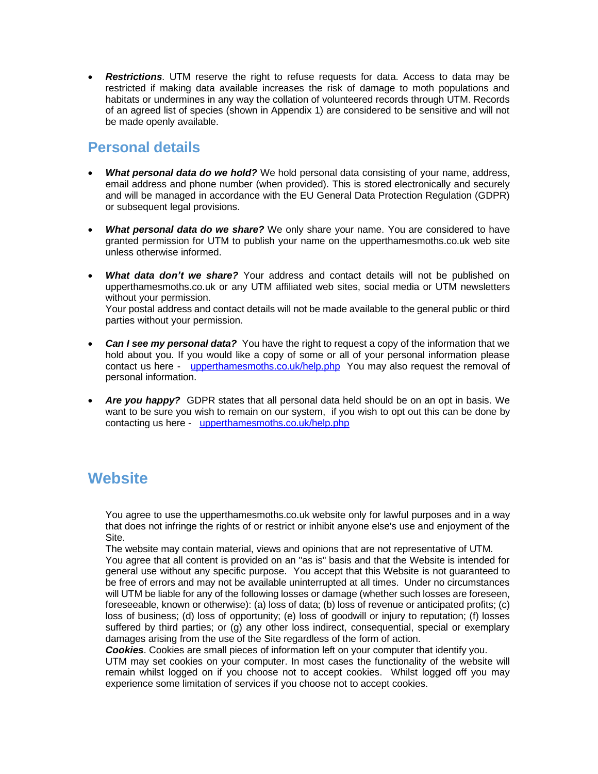• *Restrictions*. UTM reserve the right to refuse requests for data. Access to data may be restricted if making data available increases the risk of damage to moth populations and habitats or undermines in any way the collation of volunteered records through UTM. Records of an agreed list of species (shown in Appendix 1) are considered to be sensitive and will not be made openly available.

#### **Personal details**

- *What personal data do we hold?* We hold personal data consisting of your name, address, email address and phone number (when provided). This is stored electronically and securely and will be managed in accordance with the EU General Data Protection Regulation (GDPR) or subsequent legal provisions.
- *What personal data do we share?* We only share your name. You are considered to have granted permission for UTM to publish your name on the upperthamesmoths.co.uk web site unless otherwise informed.
- *What data don't we share?* Your address and contact details will not be published on upperthamesmoths.co.uk or any UTM affiliated web sites, social media or UTM newsletters without your permission. Your postal address and contact details will not be made available to the general public or third parties without your permission.
- **Can I see my personal data?** You have the right to request a copy of the information that we hold about you. If you would like a copy of some or all of your personal information please contact us here - [upperthamesmoths.co.uk/help.php](https://suffolkmoths.co.uk/help.php) You may also request the removal of personal information.
- *Are you happy?* GDPR states that all personal data held should be on an opt in basis. We want to be sure you wish to remain on our system, if you wish to opt out this can be done by contacting us here - [upperthamesmoths.co.uk/help.php](https://suffolkmoths.co.uk/help.php)

## **Website**

You agree to use the upperthamesmoths.co.uk website only for lawful purposes and in a way that does not infringe the rights of or restrict or inhibit anyone else's use and enjoyment of the Site.

The website may contain material, views and opinions that are not representative of UTM. You agree that all content is provided on an "as is" basis and that the Website is intended for general use without any specific purpose. You accept that this Website is not guaranteed to be free of errors and may not be available uninterrupted at all times. Under no circumstances will UTM be liable for any of the following losses or damage (whether such losses are foreseen, foreseeable, known or otherwise): (a) loss of data; (b) loss of revenue or anticipated profits; (c) loss of business; (d) loss of opportunity; (e) loss of goodwill or injury to reputation; (f) losses suffered by third parties; or (g) any other loss indirect, consequential, special or exemplary damages arising from the use of the Site regardless of the form of action.

*Cookies*. Cookies are small pieces of information left on your computer that identify you.

UTM may set cookies on your computer. In most cases the functionality of the website will remain whilst logged on if you choose not to accept cookies. Whilst logged off you may experience some limitation of services if you choose not to accept cookies.